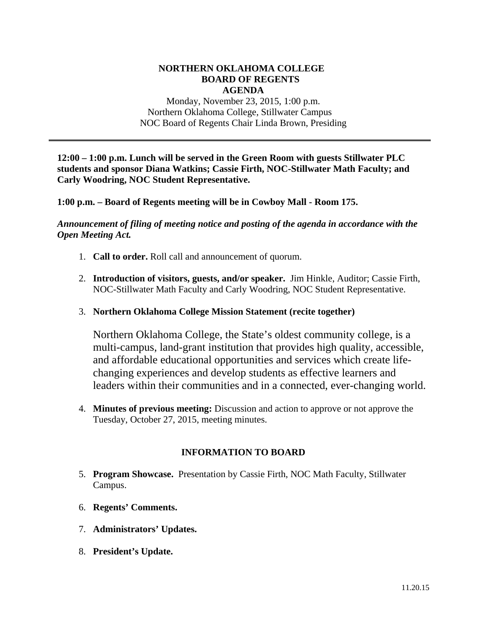#### **NORTHERN OKLAHOMA COLLEGE BOARD OF REGENTS AGENDA**

Monday, November 23, 2015, 1:00 p.m. Northern Oklahoma College, Stillwater Campus NOC Board of Regents Chair Linda Brown, Presiding

**12:00 – 1:00 p.m. Lunch will be served in the Green Room with guests Stillwater PLC students and sponsor Diana Watkins; Cassie Firth, NOC-Stillwater Math Faculty; and Carly Woodring, NOC Student Representative.** 

**1:00 p.m. – Board of Regents meeting will be in Cowboy Mall - Room 175.** 

*Announcement of filing of meeting notice and posting of the agenda in accordance with the Open Meeting Act.* 

- 1. **Call to order.** Roll call and announcement of quorum.
- 2. **Introduction of visitors, guests, and/or speaker.** Jim Hinkle, Auditor; Cassie Firth, NOC-Stillwater Math Faculty and Carly Woodring, NOC Student Representative.
- 3. **Northern Oklahoma College Mission Statement (recite together)**

Northern Oklahoma College, the State's oldest community college, is a multi-campus, land-grant institution that provides high quality, accessible, and affordable educational opportunities and services which create lifechanging experiences and develop students as effective learners and leaders within their communities and in a connected, ever-changing world.

4. **Minutes of previous meeting:** Discussion and action to approve or not approve the Tuesday, October 27, 2015, meeting minutes.

# **INFORMATION TO BOARD**

- 5. **Program Showcase.** Presentation by Cassie Firth, NOC Math Faculty, Stillwater Campus.
- 6. **Regents' Comments.**
- 7. **Administrators' Updates.**
- 8. **President's Update.**